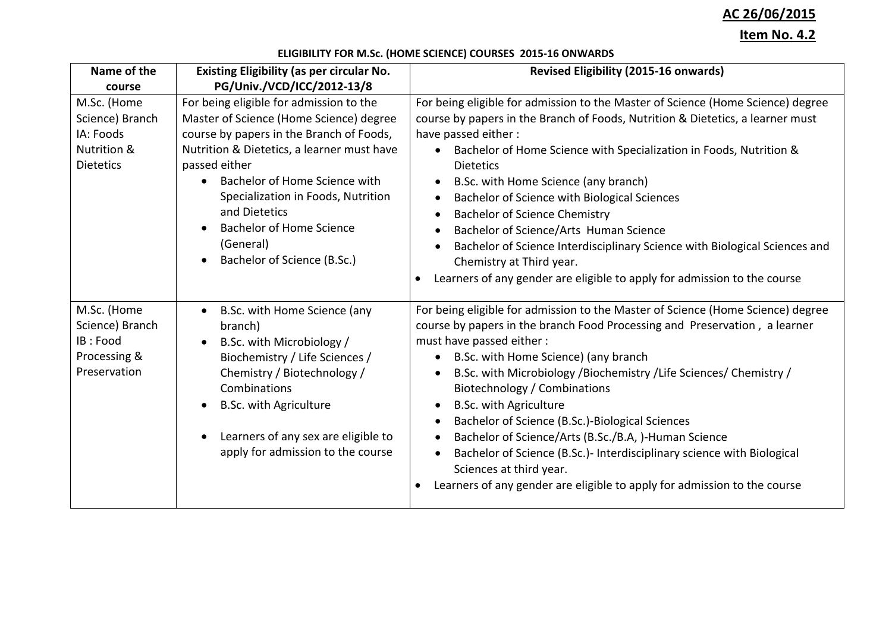# **AC 26/06/2015**

## **Item No. 4.2**

## **ELIGIBILITY FOR M.Sc. (HOME SCIENCE) COURSES 2015-16 ONWARDS**

| Name of the                                                                    | <b>Existing Eligibility (as per circular No.</b>                                                                                                                                                                                                                                                                                                                                  | <b>Revised Eligibility (2015-16 onwards)</b>                                                                                                                                                                                                                                                                                                                                                                                                                                                                                                                                                                                                                                              |
|--------------------------------------------------------------------------------|-----------------------------------------------------------------------------------------------------------------------------------------------------------------------------------------------------------------------------------------------------------------------------------------------------------------------------------------------------------------------------------|-------------------------------------------------------------------------------------------------------------------------------------------------------------------------------------------------------------------------------------------------------------------------------------------------------------------------------------------------------------------------------------------------------------------------------------------------------------------------------------------------------------------------------------------------------------------------------------------------------------------------------------------------------------------------------------------|
| course                                                                         | PG/Univ./VCD/ICC/2012-13/8                                                                                                                                                                                                                                                                                                                                                        |                                                                                                                                                                                                                                                                                                                                                                                                                                                                                                                                                                                                                                                                                           |
| M.Sc. (Home<br>Science) Branch<br>IA: Foods<br>Nutrition &<br><b>Dietetics</b> | For being eligible for admission to the<br>Master of Science (Home Science) degree<br>course by papers in the Branch of Foods,<br>Nutrition & Dietetics, a learner must have<br>passed either<br>Bachelor of Home Science with<br>$\bullet$<br>Specialization in Foods, Nutrition<br>and Dietetics<br><b>Bachelor of Home Science</b><br>(General)<br>Bachelor of Science (B.Sc.) | For being eligible for admission to the Master of Science (Home Science) degree<br>course by papers in the Branch of Foods, Nutrition & Dietetics, a learner must<br>have passed either:<br>Bachelor of Home Science with Specialization in Foods, Nutrition &<br>$\bullet$<br><b>Dietetics</b><br>B.Sc. with Home Science (any branch)<br>Bachelor of Science with Biological Sciences<br>$\bullet$<br><b>Bachelor of Science Chemistry</b><br>Bachelor of Science/Arts Human Science<br>Bachelor of Science Interdisciplinary Science with Biological Sciences and<br>Chemistry at Third year.<br>Learners of any gender are eligible to apply for admission to the course<br>$\bullet$ |
| M.Sc. (Home<br>Science) Branch<br>IB: Food<br>Processing &<br>Preservation     | B.Sc. with Home Science (any<br>$\bullet$<br>branch)<br>B.Sc. with Microbiology /<br>Biochemistry / Life Sciences /<br>Chemistry / Biotechnology /<br>Combinations<br><b>B.Sc. with Agriculture</b><br>Learners of any sex are eligible to<br>apply for admission to the course                                                                                                   | For being eligible for admission to the Master of Science (Home Science) degree<br>course by papers in the branch Food Processing and Preservation, a learner<br>must have passed either :<br>B.Sc. with Home Science) (any branch<br>B.Sc. with Microbiology /Biochemistry / Life Sciences/ Chemistry /<br>Biotechnology / Combinations<br><b>B.Sc. with Agriculture</b><br>$\bullet$<br>Bachelor of Science (B.Sc.)-Biological Sciences<br>Bachelor of Science/Arts (B.Sc./B.A, )-Human Science<br>Bachelor of Science (B.Sc.) - Interdisciplinary science with Biological<br>Sciences at third year.<br>Learners of any gender are eligible to apply for admission to the course       |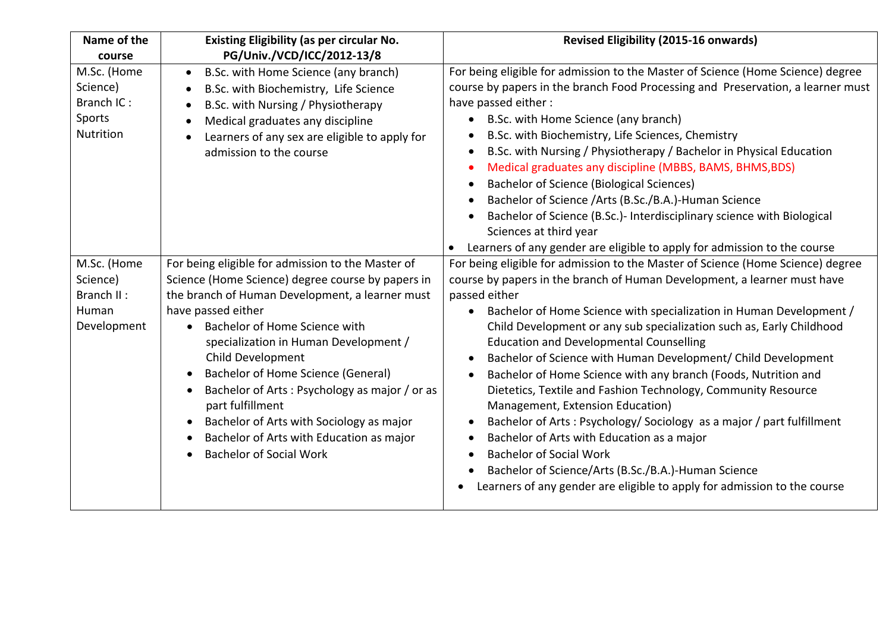| Name of the<br>course                                         | <b>Existing Eligibility (as per circular No.</b><br>PG/Univ./VCD/ICC/2012-13/8                                                                                                                                                                                                                                                                                                                                                                                                                                      | <b>Revised Eligibility (2015-16 onwards)</b>                                                                                                                                                                                                                                                                                                                                                                                                                                                                                                                                                                                                                                                                                                                                                                                                                                                                      |
|---------------------------------------------------------------|---------------------------------------------------------------------------------------------------------------------------------------------------------------------------------------------------------------------------------------------------------------------------------------------------------------------------------------------------------------------------------------------------------------------------------------------------------------------------------------------------------------------|-------------------------------------------------------------------------------------------------------------------------------------------------------------------------------------------------------------------------------------------------------------------------------------------------------------------------------------------------------------------------------------------------------------------------------------------------------------------------------------------------------------------------------------------------------------------------------------------------------------------------------------------------------------------------------------------------------------------------------------------------------------------------------------------------------------------------------------------------------------------------------------------------------------------|
| M.Sc. (Home<br>Science)<br>Branch IC:<br>Sports<br>Nutrition  | B.Sc. with Home Science (any branch)<br>$\bullet$<br>B.Sc. with Biochemistry, Life Science<br>B.Sc. with Nursing / Physiotherapy<br>Medical graduates any discipline<br>Learners of any sex are eligible to apply for<br>admission to the course                                                                                                                                                                                                                                                                    | For being eligible for admission to the Master of Science (Home Science) degree<br>course by papers in the branch Food Processing and Preservation, a learner must<br>have passed either:<br>B.Sc. with Home Science (any branch)<br>$\bullet$<br>B.Sc. with Biochemistry, Life Sciences, Chemistry<br>B.Sc. with Nursing / Physiotherapy / Bachelor in Physical Education<br>Medical graduates any discipline (MBBS, BAMS, BHMS, BDS)<br><b>Bachelor of Science (Biological Sciences)</b><br>$\bullet$<br>Bachelor of Science /Arts (B.Sc./B.A.)-Human Science<br>Bachelor of Science (B.Sc.)- Interdisciplinary science with Biological<br>Sciences at third year<br>Learners of any gender are eligible to apply for admission to the course                                                                                                                                                                   |
| M.Sc. (Home<br>Science)<br>Branch II:<br>Human<br>Development | For being eligible for admission to the Master of<br>Science (Home Science) degree course by papers in<br>the branch of Human Development, a learner must<br>have passed either<br>Bachelor of Home Science with<br>specialization in Human Development /<br>Child Development<br>Bachelor of Home Science (General)<br>Bachelor of Arts: Psychology as major / or as<br>part fulfillment<br>Bachelor of Arts with Sociology as major<br>Bachelor of Arts with Education as major<br><b>Bachelor of Social Work</b> | For being eligible for admission to the Master of Science (Home Science) degree<br>course by papers in the branch of Human Development, a learner must have<br>passed either<br>Bachelor of Home Science with specialization in Human Development /<br>Child Development or any sub specialization such as, Early Childhood<br><b>Education and Developmental Counselling</b><br>Bachelor of Science with Human Development/ Child Development<br>Bachelor of Home Science with any branch (Foods, Nutrition and<br>Dietetics, Textile and Fashion Technology, Community Resource<br>Management, Extension Education)<br>Bachelor of Arts: Psychology/ Sociology as a major / part fulfillment<br>Bachelor of Arts with Education as a major<br><b>Bachelor of Social Work</b><br>Bachelor of Science/Arts (B.Sc./B.A.)-Human Science<br>Learners of any gender are eligible to apply for admission to the course |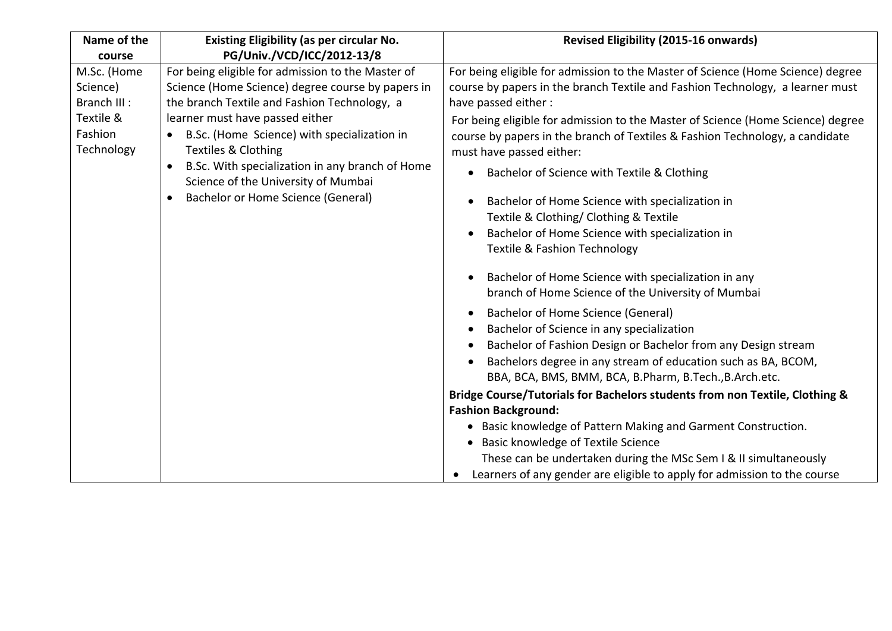| Name of the<br>course                                                         | <b>Existing Eligibility (as per circular No.</b><br>PG/Univ./VCD/ICC/2012-13/8                                                                                                                                                                                                                                                                                                                                               | <b>Revised Eligibility (2015-16 onwards)</b>                                                                                                                                                                                                                                                                                                                                                                                                                                                                                                                                                                                                                                                                                                                                                                                                                                                                                                                                                                                                                                                                                                                                                                                                                                                                                                                                                                                 |
|-------------------------------------------------------------------------------|------------------------------------------------------------------------------------------------------------------------------------------------------------------------------------------------------------------------------------------------------------------------------------------------------------------------------------------------------------------------------------------------------------------------------|------------------------------------------------------------------------------------------------------------------------------------------------------------------------------------------------------------------------------------------------------------------------------------------------------------------------------------------------------------------------------------------------------------------------------------------------------------------------------------------------------------------------------------------------------------------------------------------------------------------------------------------------------------------------------------------------------------------------------------------------------------------------------------------------------------------------------------------------------------------------------------------------------------------------------------------------------------------------------------------------------------------------------------------------------------------------------------------------------------------------------------------------------------------------------------------------------------------------------------------------------------------------------------------------------------------------------------------------------------------------------------------------------------------------------|
| M.Sc. (Home<br>Science)<br>Branch III :<br>Textile &<br>Fashion<br>Technology | For being eligible for admission to the Master of<br>Science (Home Science) degree course by papers in<br>the branch Textile and Fashion Technology, a<br>learner must have passed either<br>B.Sc. (Home Science) with specialization in<br><b>Textiles &amp; Clothing</b><br>B.Sc. With specialization in any branch of Home<br>$\bullet$<br>Science of the University of Mumbai<br>Bachelor or Home Science (General)<br>٠ | For being eligible for admission to the Master of Science (Home Science) degree<br>course by papers in the branch Textile and Fashion Technology, a learner must<br>have passed either:<br>For being eligible for admission to the Master of Science (Home Science) degree<br>course by papers in the branch of Textiles & Fashion Technology, a candidate<br>must have passed either:<br>Bachelor of Science with Textile & Clothing<br>$\bullet$<br>Bachelor of Home Science with specialization in<br>Textile & Clothing/ Clothing & Textile<br>Bachelor of Home Science with specialization in<br><b>Textile &amp; Fashion Technology</b><br>Bachelor of Home Science with specialization in any<br>branch of Home Science of the University of Mumbai<br>Bachelor of Home Science (General)<br>$\bullet$<br>Bachelor of Science in any specialization<br>Bachelor of Fashion Design or Bachelor from any Design stream<br>Bachelors degree in any stream of education such as BA, BCOM,<br>BBA, BCA, BMS, BMM, BCA, B.Pharm, B.Tech., B.Arch.etc.<br>Bridge Course/Tutorials for Bachelors students from non Textile, Clothing &<br><b>Fashion Background:</b><br>• Basic knowledge of Pattern Making and Garment Construction.<br>• Basic knowledge of Textile Science<br>These can be undertaken during the MSc Sem I & II simultaneously<br>Learners of any gender are eligible to apply for admission to the course |